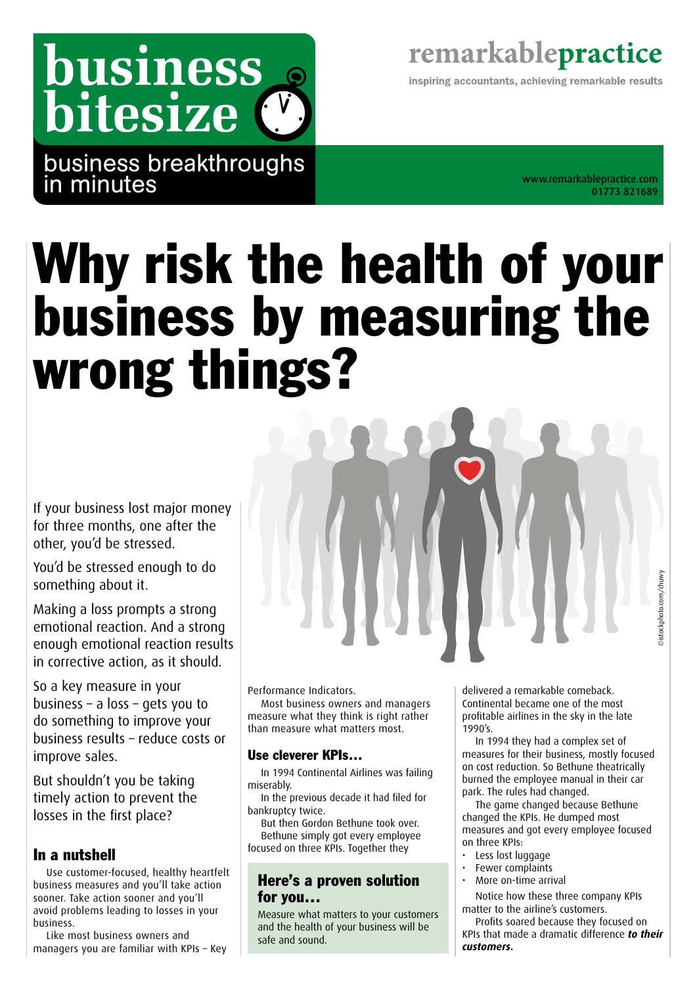# business bitesize

business breakthroughs in minutes [www.remarkablepractice.com](http://www.remarkablepractice.com)

remarkablepractice

inspiring accountants, achieving remarkable results

01773 821689

# Why risk the health of your business by measuring the wrong things?

If your business lost major money for three months, one after the other, you'd be stressed.

You'd be stressed enough to do something about it.

Making a loss prompts a strong emotional reaction. And a strong enough emotional reaction results in corrective action, as it should.

So a key measure in your business – a loss – gets you to do something to improve your business results – reduce costs or improve sales.

But shouldn't you be taking timely action to prevent the losses in the first place?

# In a nutshell

Use customer-focused, healthy heartfelt business measures and you'll take action sooner. Take action sooner and you'll avoid problems leading to losses in your business.

Like most business owners and managers you are familiar with KPIs – Key Performance Indicators.

Most business owners and managers measure what they think is right rather than measure what matters most.

#### Use cleverer KPIs…

In 1994 Continental Airlines was failing miserably.

In the previous decade it had filed for bankruptcy twice.

But then Gordon Bethune took over. Bethune simply got every employee focused on three KPIs. Together they

### Here's a proven solution for you…

Measure what matters to your customers and the health of your business will be safe and sound.

delivered a remarkable comeback. Continental became one of the most profitable airlines in the sky in the late 1990's.

©istockphoto.com/chuwy

vistockphoto.com/chuwy

In 1994 they had a complex set of measures for their business, mostly focused on cost reduction. So Bethune theatrically burned the employee manual in their car park. The rules had changed.

The game changed because Bethune changed the KPIs. He dumped most measures and got every employee focused on three KPIs:

- Less lost luggage
- Fewer complaints
- More on-time arrival

Notice how these three company KPIs matter to the airline's customers.

Profits soared because they focused on KPIs that made a dramatic difference *to their customers***.**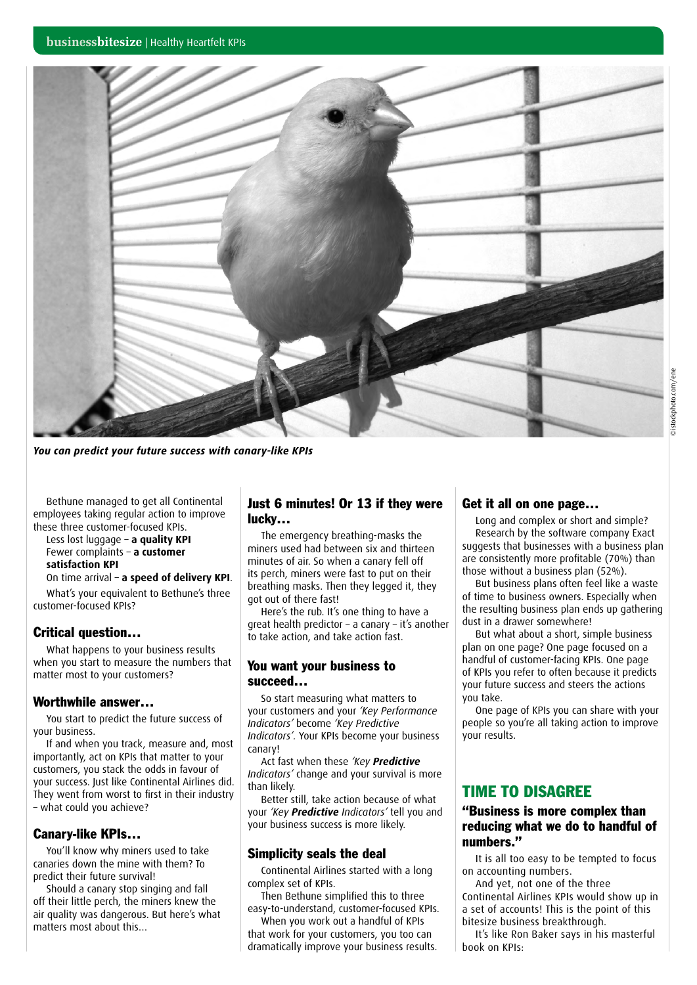

*You can predict your future success with canary-like KPIs*

Bethune managed to get all Continental employees taking regular action to improve these three customer-focused KPIs.

Less lost luggage – **a quality KPI** Fewer complaints – **a customer satisfaction KPI**

On time arrival – **a speed of delivery KPI**.

What's your equivalent to Bethune's three customer-focused KPIs?

#### Critical question…

What happens to your business results when you start to measure the numbers that matter most to your customers?

#### Worthwhile answer…

You start to predict the future success of your business.

If and when you track, measure and, most importantly, act on KPIs that matter to your customers, you stack the odds in favour of your success. Just like Continental Airlines did. They went from worst to first in their industry – what could you achieve?

#### Canary-like KPIs…

You'll know why miners used to take canaries down the mine with them? To predict their future survival!

Should a canary stop singing and fall off their little perch, the miners knew the air quality was dangerous. But here's what matters most about this…

#### Just 6 minutes! Or 13 if they were lucky…

The emergency breathing-masks the miners used had between six and thirteen minutes of air. So when a canary fell off its perch, miners were fast to put on their breathing masks. Then they legged it, they got out of there fast!

Here's the rub. It's one thing to have a great health predictor – a canary – it's another to take action, and take action fast.

#### You want your business to succeed…

So start measuring what matters to your customers and your *'Key Performance Indicators'* become *'Key Predictive Indicators'.* Your KPIs become your business canary!

Act fast when these *'Key Predictive Indicators'* change and your survival is more than likely.

Better still, take action because of what your *'Key Predictive Indicators'* tell you and your business success is more likely.

#### Simplicity seals the deal

Continental Airlines started with a long complex set of KPIs.

Then Bethune simplified this to three easy-to-understand, customer-focused KPIs.

When you work out a handful of KPIs that work for your customers, you too can dramatically improve your business results.

#### Get it all on one page…

Long and complex or short and simple? Research by the software company Exact suggests that businesses with a business plan are consistently more profitable (70%) than those without a business plan (52%).

But business plans often feel like a waste of time to business owners. Especially when the resulting business plan ends up gathering dust in a drawer somewhere!

But what about a short, simple business plan on one page? One page focused on a handful of customer-facing KPIs. One page of KPIs you refer to often because it predicts your future success and steers the actions you take.

One page of KPIs you can share with your people so you're all taking action to improve your results.

#### TIME TO DISAGREE

#### "Business is more complex than reducing what we do to handful of numbers."

It is all too easy to be tempted to focus on accounting numbers.

And yet, not one of the three Continental Airlines KPIs would show up in a set of accounts! This is the point of this bitesize business breakthrough.

It's like Ron Baker says in his masterful book on KPIs: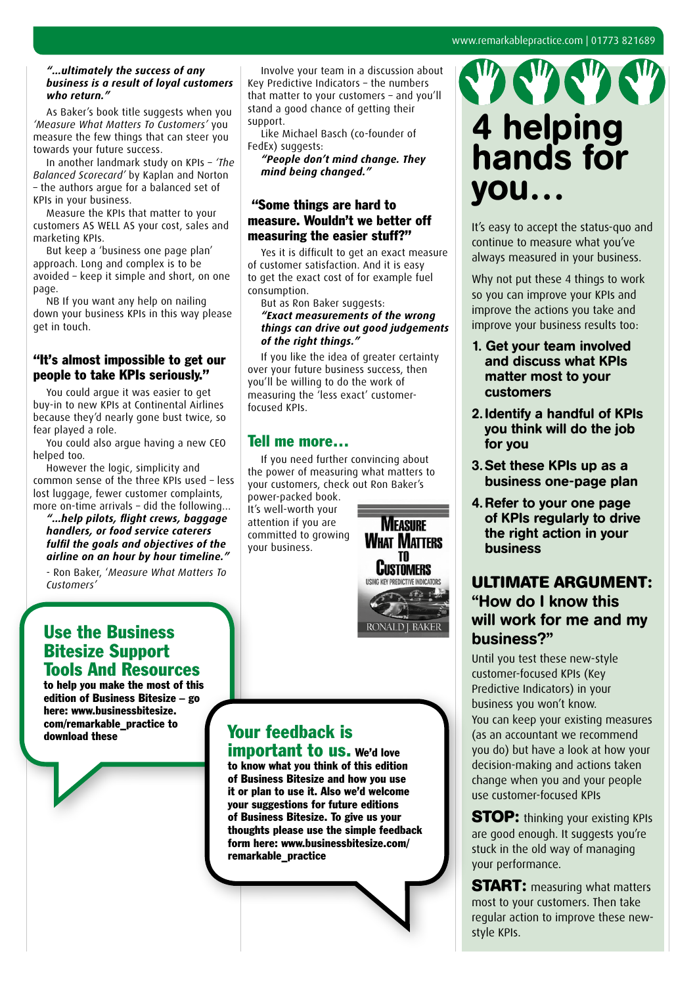#### [www.remarkablepractice.com](http://www.remarkablepractice.com) | 01773 821689

#### *"…ultimately the success of any business is a result of loyal customers who return."*

As Baker's book title suggests when you *'Measure What Matters To Customers'* you measure the few things that can steer you towards your future success.

In another landmark study on KPIs – *'The Balanced Scorecard'* by Kaplan and Norton – the authors argue for a balanced set of KPIs in your business.

Measure the KPIs that matter to your customers AS WELL AS your cost, sales and marketing KPIs.

But keep a 'business one page plan' approach. Long and complex is to be avoided – keep it simple and short, on one page.

NB If you want any help on nailing down your business KPIs in this way please get in touch.

#### "It's almost impossible to get our people to take KPIs seriously."

You could argue it was easier to get buy-in to new KPIs at Continental Airlines because they'd nearly gone bust twice, so fear played a role.

You could also argue having a new CEO helped too.

However the logic, simplicity and common sense of the three KPIs used – less lost luggage, fewer customer complaints, more on-time arrivals – did the following…

*"…help pilots, flight crews, baggage handlers, or food service caterers fulfil the goals and objectives of the airline on an hour by hour timeline."*

- Ron Baker, '*Measure What Matters To Customers'*

Involve your team in a discussion about Key Predictive Indicators – the numbers that matter to your customers – and you'll stand a good chance of getting their support.

Like Michael Basch (co-founder of FedEx) suggests:

*"People don't mind change. They mind being changed."*

#### "Some things are hard to measure. Wouldn't we better off measuring the easier stuff?"

Yes it is difficult to get an exact measure of customer satisfaction. And it is easy to get the exact cost of for example fuel consumption.

But as Ron Baker suggests: *"Exact measurements of the wrong things can drive out good judgements of the right things."*

If you like the idea of greater certainty over your future business success, then you'll be willing to do the work of measuring the 'less exact' customerfocused KPIs.

## Tell me more…

If you need further convincing about the power of measuring what matters to your customers, check out Ron Baker's

power-packed book. It's well-worth your attention if you are committed to growing your business.



## Use the Business Bitesize Support Tools And Resources

to help you make the most of this edition of Business Bitesize – go here: [www.businessbitesize.](http://www.businessbitesize.com/remarkable_practice) [com/remarkable\\_practice](http://www.businessbitesize.com/remarkable_practice) to

# Your feedback is important to us. We'd love

to know what you think of this edition of Business Bitesize and how you use it or plan to use it. Also we'd welcome your suggestions for future editions of Business Bitesize. To give us your thoughts please use the simple feedback form here: [www.businessbitesize.com/](http://www.businessbitesize.com/remarkable_practice) [remarkable\\_practice](http://www.businessbitesize.com/remarkable_practice)



It's easy to accept the status-quo and continue to measure what you've always measured in your business.

Why not put these 4 things to work so you can improve your KPIs and improve the actions you take and improve your business results too:

- 1. Get your team involved and discuss what KPIs matter most to your customers
- 2. Identify a handful of KPIs you think will do the job for you
- 3.Set these KPIs up as a business one-page plan
- 4.Refer to your one page of KPIs regularly to drive the right action in your business

# **ULTIMATE ARGUMENT:**  "How do I know this will work for me and my business?"

Until you test these new-style customer-focused KPIs (Key Predictive Indicators) in your business you won't know. You can keep your existing measures (as an accountant we recommend you do) but have a look at how your decision-making and actions taken change when you and your people use customer-focused KPIs

**STOP:** thinking your existing KPIs are good enough. It suggests you're stuck in the old way of managing your performance.

**START:** measuring what matters most to your customers. Then take regular action to improve these newstyle KPIs.